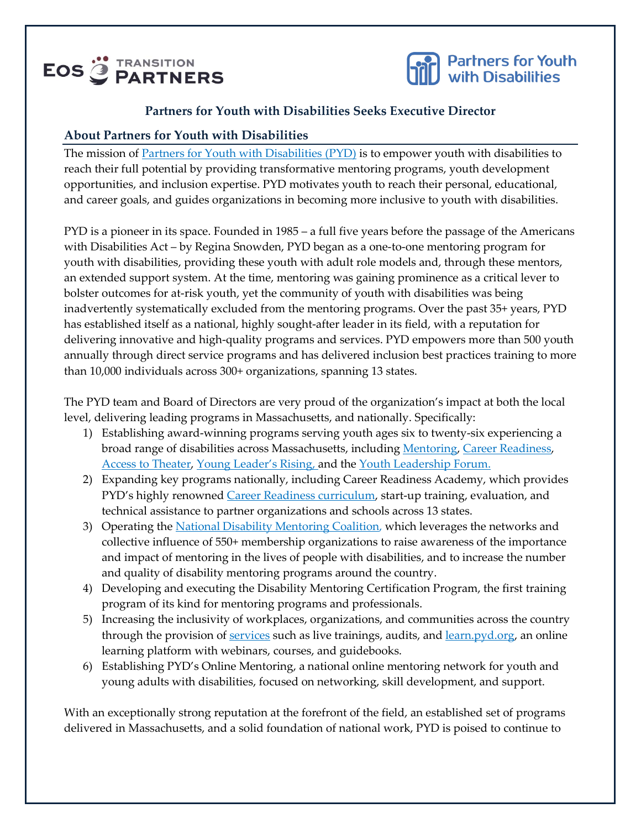# **EOS<sup>"</sup>** FRANSITION



#### **Partners for Youth with Disabilities Seeks Executive Director**

#### **About Partners for Youth with Disabilities**

The mission of [Partners for Youth with Disabilities](https://www.pyd.org/) (PYD) is to empower youth with disabilities to reach their full potential by providing transformative mentoring programs, youth development opportunities, and inclusion expertise. PYD motivates youth to reach their personal, educational, and career goals, and guides organizations in becoming more inclusive to youth with disabilities.

PYD is a pioneer in its space. Founded in 1985 – a full five years before the passage of the Americans with Disabilities Act – by Regina Snowden, PYD began as a one-to-one mentoring program for youth with disabilities, providing these youth with adult role models and, through these mentors, an extended support system. At the time, mentoring was gaining prominence as a critical lever to bolster outcomes for at-risk youth, yet the community of youth with disabilities was being inadvertently systematically excluded from the mentoring programs. Over the past 35+ years, PYD has established itself as a national, highly sought-after leader in its field, with a reputation for delivering innovative and high-quality programs and services. PYD empowers more than 500 youth annually through direct service programs and has delivered inclusion best practices training to more than 10,000 individuals across 300+ organizations, spanning 13 states.

The PYD team and Board of Directors are very proud of the organization's impact at both the local level, delivering leading programs in Massachusetts, and nationally. Specifically:

- 1) Establishing award-winning programs serving youth ages six to twenty-six experiencing a broad range of disabilities across Massachusetts, including [Mentoring,](https://www.pyd.org/programs/mentoring/) [Career Readiness,](https://www.pyd.org/programs/career-readiness/) [Access to Theater,](https://www.pyd.org/programs/theater-arts/) [Young Leader's Rising](https://www.pyd.org/programs/young-leaders-rising/), and the [Youth Leadership Forum.](https://www.pyd.org/programs/youth-leadership-forum/)
- 2) Expanding key programs nationally, including Career Readiness Academy, which provides PYD's highly renowned [Career Readiness curriculum,](https://www.pyd.org/curriculum/) start-up training, evaluation, and technical assistance to partner organizations and schools across 13 states.
- 3) Operating th[e National Disability Mentoring Coalition,](https://ndmc.pyd.org/) which leverages the networks and collective influence of 550+ membership organizations to raise awareness of the importance and impact of mentoring in the lives of people with disabilities, and to increase the number and quality of disability mentoring programs around the country.
- 4) Developing and executing the Disability Mentoring Certification Program, the first training program of its kind for mentoring programs and professionals.
- 5) Increasing the inclusivity of workplaces, organizations, and communities across the country through the provision of [services](https://www.pyd.org/services/) such as live trainings, audits, and [learn.pyd.org,](https://learn.pyd.org/) an online learning platform with webinars, courses, and guidebooks.
- 6) Establishing PYD's Online Mentoring, a national online mentoring network for youth and young adults with disabilities, focused on networking, skill development, and support.

With an exceptionally strong reputation at the forefront of the field, an established set of programs delivered in Massachusetts, and a solid foundation of national work, PYD is poised to continue to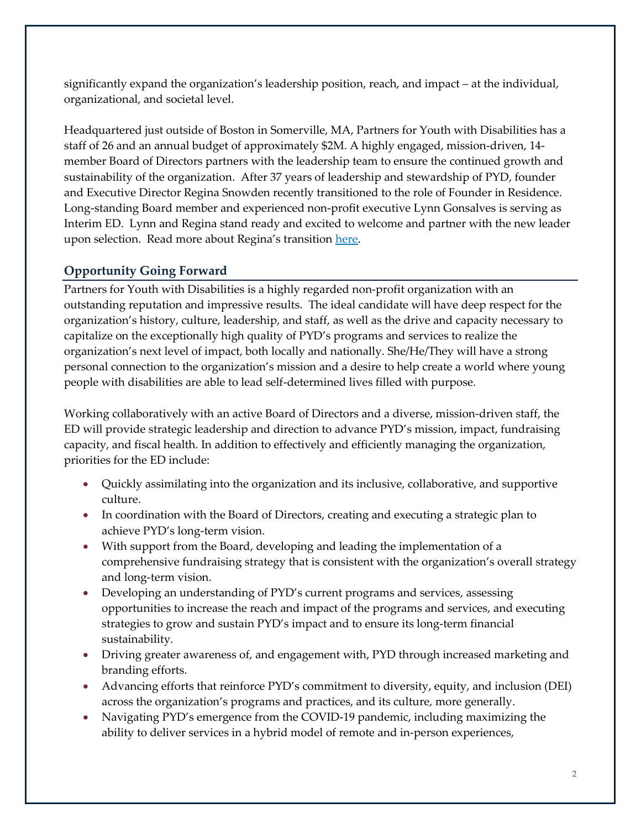significantly expand the organization's leadership position, reach, and impact – at the individual, organizational, and societal level.

Headquartered just outside of Boston in Somerville, MA, Partners for Youth with Disabilities has a staff of 26 and an annual budget of approximately \$2M. A highly engaged, mission-driven, 14 member Board of Directors partners with the leadership team to ensure the continued growth and sustainability of the organization. After 37 years of leadership and stewardship of PYD, founder and Executive Director Regina Snowden recently transitioned to the role of Founder in Residence. Long-standing Board member and experienced non-profit executive Lynn Gonsalves is serving as Interim ED. Lynn and Regina stand ready and excited to welcome and partner with the new leader upon selection. Read more about Regina's transition [here.](https://www.pyd.org/important-announcement-from-regina-snowden-and-pyd/)

## **Opportunity Going Forward**

Partners for Youth with Disabilities is a highly regarded non-profit organization with an outstanding reputation and impressive results. The ideal candidate will have deep respect for the organization's history, culture, leadership, and staff, as well as the drive and capacity necessary to capitalize on the exceptionally high quality of PYD's programs and services to realize the organization's next level of impact, both locally and nationally. She/He/They will have a strong personal connection to the organization's mission and a desire to help create a world where young people with disabilities are able to lead self-determined lives filled with purpose.

Working collaboratively with an active Board of Directors and a diverse, mission-driven staff, the ED will provide strategic leadership and direction to advance PYD's mission, impact, fundraising capacity, and fiscal health. In addition to effectively and efficiently managing the organization, priorities for the ED include:

- Quickly assimilating into the organization and its inclusive, collaborative, and supportive culture.
- In coordination with the Board of Directors, creating and executing a strategic plan to achieve PYD's long-term vision.
- With support from the Board, developing and leading the implementation of a comprehensive fundraising strategy that is consistent with the organization's overall strategy and long-term vision.
- Developing an understanding of PYD's current programs and services, assessing opportunities to increase the reach and impact of the programs and services, and executing strategies to grow and sustain PYD's impact and to ensure its long-term financial sustainability.
- Driving greater awareness of, and engagement with, PYD through increased marketing and branding efforts.
- Advancing efforts that reinforce PYD's commitment to diversity, equity, and inclusion (DEI) across the organization's programs and practices, and its culture, more generally.
- Navigating PYD's emergence from the COVID-19 pandemic, including maximizing the ability to deliver services in a hybrid model of remote and in-person experiences,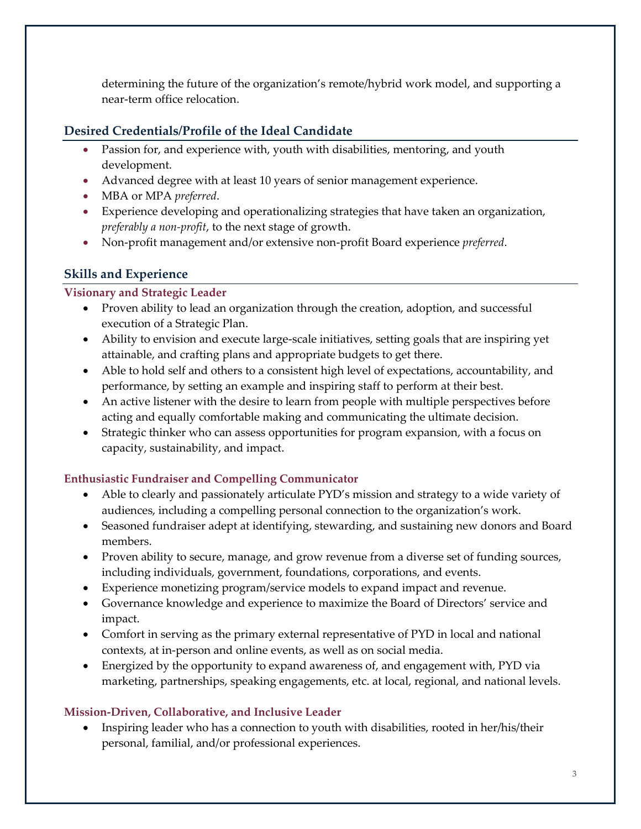determining the future of the organization's remote/hybrid work model, and supporting a near-term office relocation.

## **Desired Credentials/Profile of the Ideal Candidate**

- Passion for, and experience with, youth with disabilities, mentoring, and youth development.
- Advanced degree with at least 10 years of senior management experience.
- MBA or MPA *preferred*.
- Experience developing and operationalizing strategies that have taken an organization, *preferably a non-profit*, to the next stage of growth.
- Non-profit management and/or extensive non-profit Board experience *preferred*.

# **Skills and Experience**

## **Visionary and Strategic Leader**

- Proven ability to lead an organization through the creation, adoption, and successful execution of a Strategic Plan.
- Ability to envision and execute large-scale initiatives, setting goals that are inspiring yet attainable, and crafting plans and appropriate budgets to get there.
- Able to hold self and others to a consistent high level of expectations, accountability, and performance, by setting an example and inspiring staff to perform at their best.
- An active listener with the desire to learn from people with multiple perspectives before acting and equally comfortable making and communicating the ultimate decision.
- Strategic thinker who can assess opportunities for program expansion, with a focus on capacity, sustainability, and impact.

## **Enthusiastic Fundraiser and Compelling Communicator**

- Able to clearly and passionately articulate PYD's mission and strategy to a wide variety of audiences, including a compelling personal connection to the organization's work.
- Seasoned fundraiser adept at identifying, stewarding, and sustaining new donors and Board members.
- Proven ability to secure, manage, and grow revenue from a diverse set of funding sources, including individuals, government, foundations, corporations, and events.
- Experience monetizing program/service models to expand impact and revenue.
- Governance knowledge and experience to maximize the Board of Directors' service and impact.
- Comfort in serving as the primary external representative of PYD in local and national contexts, at in-person and online events, as well as on social media.
- Energized by the opportunity to expand awareness of, and engagement with, PYD via marketing, partnerships, speaking engagements, etc. at local, regional, and national levels.

## **Mission-Driven, Collaborative, and Inclusive Leader**

• Inspiring leader who has a connection to youth with disabilities, rooted in her/his/their personal, familial, and/or professional experiences.